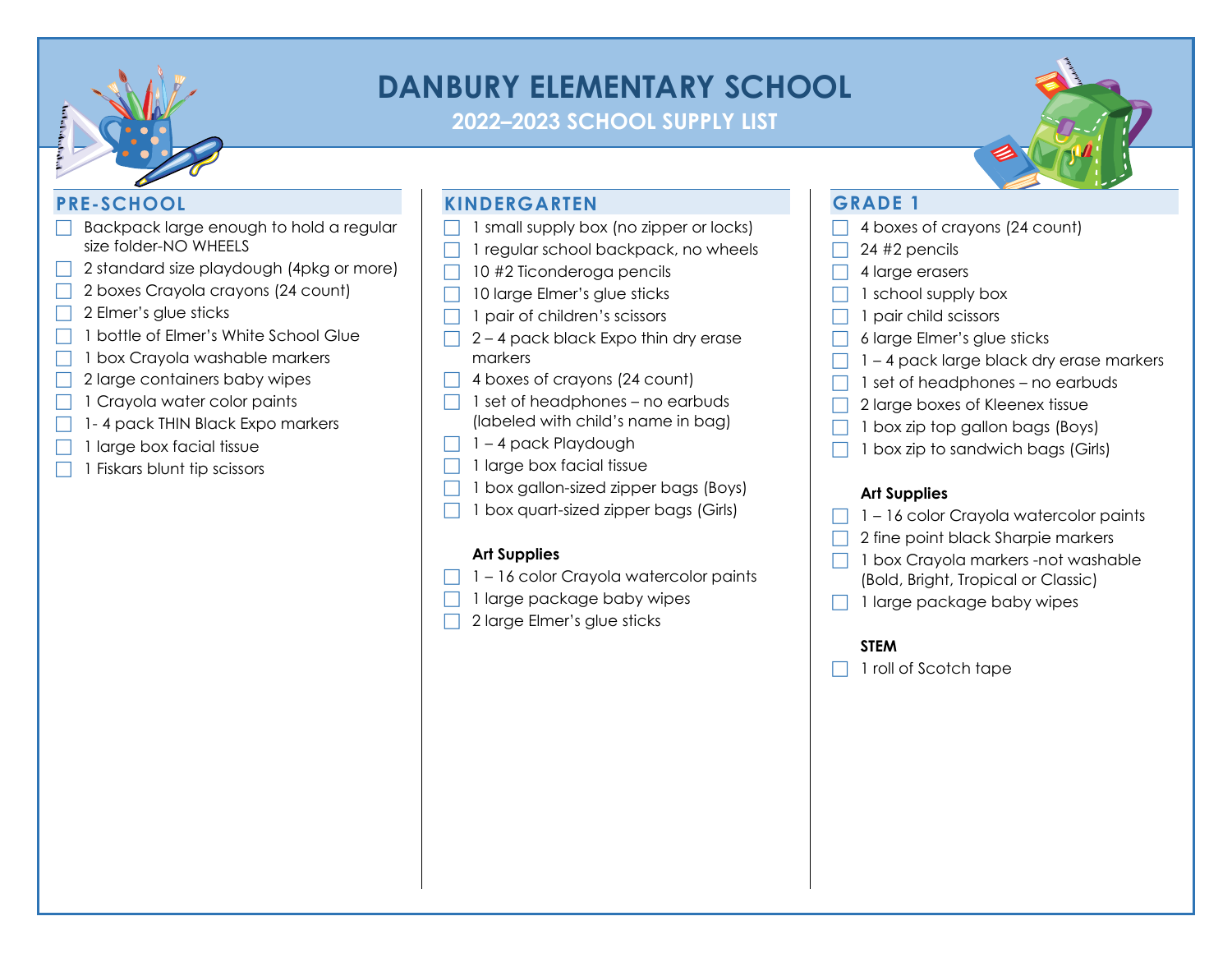

# **DANBURY ELEMENTARY SCHOOL**

**2022–2023 SCHOOL SUPPLY LIST**

# **PRE-SCHOOL**

- Backpack large enough to hold a regular size folder-NO WHEELS
- 2 standard size playdough (4pkg or more)
- 2 boxes Crayola crayons (24 count)
- 2 Elmer's glue sticks
- 1 bottle of Elmer's White School Glue
- 1 box Crayola washable markers
- 2 large containers baby wipes
- 1 Crayola water color paints
- 1- 4 pack THIN Black Expo markers
- 1 large box facial tissue
- 1 Fiskars blunt tip scissors

# **KINDERGARTEN**

- $\Box$  1 small supply box (no zipper or locks)
- 1 regular school backpack, no wheels
- $\Box$  10 #2 Ticonderoga pencils
- 10 large Elmer's glue sticks
- $\Box$  1 pair of children's scissors
- 2 4 pack black Expo thin dry erase markers
- $\Box$  4 boxes of crayons (24 count)
- 1 set of headphones no earbuds (labeled with child's name in bag)
- $\Box$  1 4 pack Playdough
- 1 large box facial tissue
- 1 box gallon-sized zipper bags (Boys)
- 1 box quart-sized zipper bags (Girls)

#### **Art Supplies**

- 1 16 color Crayola watercolor paints
- 1 large package baby wipes
- 2 large Elmer's glue sticks

# **GRADE 1**

- 4 boxes of crayons (24 count)
- 24 #2 pencils
- 4 large erasers
- 1 school supply box
- 1 pair child scissors
- 6 large Elmer's glue sticks
- 1 4 pack large black dry erase markers
- 1 set of headphones no earbuds
- 2 large boxes of Kleenex tissue
- 1 box zip top gallon bags (Boys)
- 1 box zip to sandwich bags (Girls)

#### **Art Supplies**

- 1 16 color Crayola watercolor paints
- 2 fine point black Sharpie markers
- 1 box Crayola markers -not washable (Bold, Bright, Tropical or Classic)
- 1 large package baby wipes

#### **STEM**

1 roll of Scotch tape